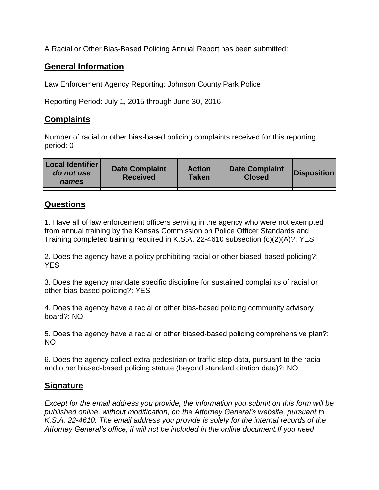A Racial or Other Bias-Based Policing Annual Report has been submitted:

## **General Information**

Law Enforcement Agency Reporting: Johnson County Park Police

Reporting Period: July 1, 2015 through June 30, 2016

## **Complaints**

Number of racial or other bias-based policing complaints received for this reporting period: 0

| <b>Local Identifier</b><br>do not use<br>names | <b>Date Complaint</b><br><b>Received</b> | <b>Action</b><br><b>Taken</b> | <b>Date Complaint</b><br><b>Closed</b> | Disposition |
|------------------------------------------------|------------------------------------------|-------------------------------|----------------------------------------|-------------|
|                                                |                                          |                               |                                        |             |

## **Questions**

1. Have all of law enforcement officers serving in the agency who were not exempted from annual training by the Kansas Commission on Police Officer Standards and Training completed training required in K.S.A. 22-4610 subsection (c)(2)(A)?: YES

2. Does the agency have a policy prohibiting racial or other biased-based policing?: YES

3. Does the agency mandate specific discipline for sustained complaints of racial or other bias-based policing?: YES

4. Does the agency have a racial or other bias-based policing community advisory board?: NO

5. Does the agency have a racial or other biased-based policing comprehensive plan?: NO

6. Does the agency collect extra pedestrian or traffic stop data, pursuant to the racial and other biased-based policing statute (beyond standard citation data)?: NO

## **Signature**

*Except for the email address you provide, the information you submit on this form will be published online, without modification, on the Attorney General's website, pursuant to K.S.A. 22-4610. The email address you provide is solely for the internal records of the Attorney General's office, it will not be included in the online document.If you need*